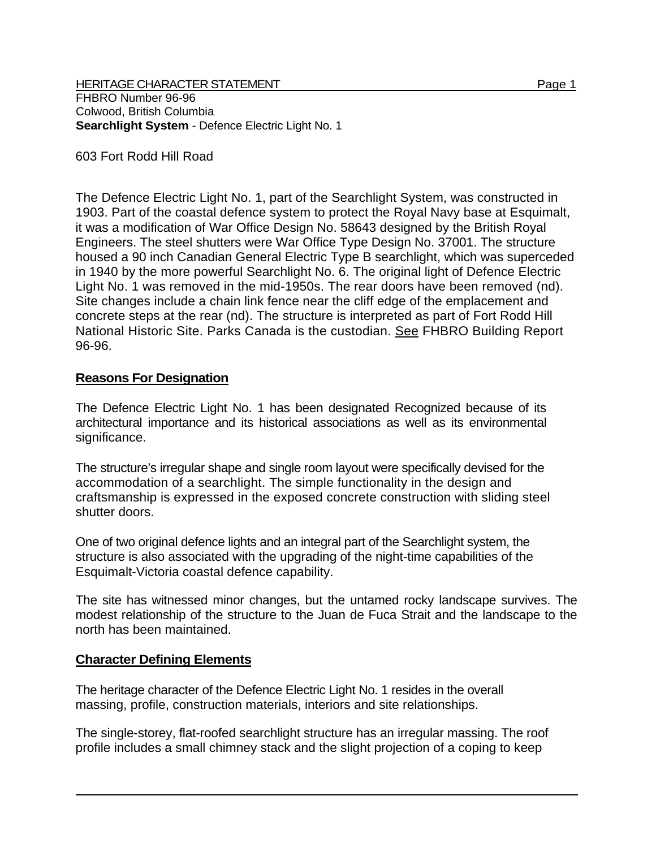603 Fort Rodd Hill Road

The Defence Electric Light No. 1, part of the Searchlight System, was constructed in 1903. Part of the coastal defence system to protect the Royal Navy base at Esquimalt, it was a modification of War Office Design No. 58643 designed by the British Royal Engineers. The steel shutters were War Office Type Design No. 37001. The structure housed a 90 inch Canadian General Electric Type B searchlight, which was superceded in 1940 by the more powerful Searchlight No. 6. The original light of Defence Electric Light No. 1 was removed in the mid-1950s. The rear doors have been removed (nd). Site changes include a chain link fence near the cliff edge of the emplacement and concrete steps at the rear (nd). The structure is interpreted as part of Fort Rodd Hill National Historic Site. Parks Canada is the custodian. See FHBRO Building Report 96-96.

## **Reasons For Designation**

The Defence Electric Light No. 1 has been designated Recognized because of its architectural importance and its historical associations as well as its environmental significance.

The structure's irregular shape and single room layout were specifically devised for the accommodation of a searchlight. The simple functionality in the design and craftsmanship is expressed in the exposed concrete construction with sliding steel shutter doors.

One of two original defence lights and an integral part of the Searchlight system, the structure is also associated with the upgrading of the night-time capabilities of the Esquimalt-Victoria coastal defence capability.

The site has witnessed minor changes, but the untamed rocky landscape survives. The modest relationship of the structure to the Juan de Fuca Strait and the landscape to the north has been maintained.

## **Character Defining Elements**

The heritage character of the Defence Electric Light No. 1 resides in the overall massing, profile, construction materials, interiors and site relationships.

The single-storey, flat-roofed searchlight structure has an irregular massing. The roof profile includes a small chimney stack and the slight projection of a coping to keep